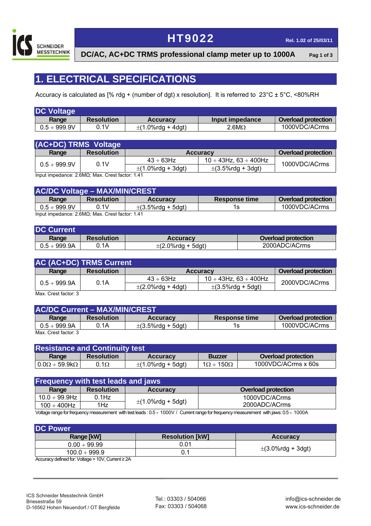

## **HT9022 Rel. 1.02 of 25/03/11**

**DC/AC, AC+DC TRMS professional clamp meter up to 1000A Pag 1 of 3**

## **1. ELECTRICAL SPECIFICATIONS**

Accuracy is calculated as [% rdg + (number of dgt) x resolution]. It is referred to 23°C ± 5°C, <80%RH

| <b>DC Voltage</b> |                   |                        |                 |                            |
|-------------------|-------------------|------------------------|-----------------|----------------------------|
| Range             | <b>Resolution</b> | <b>Accuracy</b>        | Input impedance | <b>Overload protection</b> |
| $0.5 \div 999.9V$ | 0.1V              | $\pm$ (1.0%rdg + 4dgt) | $2.6M\Omega$    | 1000VDC/ACrms              |

| (AC+DC) TRMS Voltage |                   |                        |                                   |                            |
|----------------------|-------------------|------------------------|-----------------------------------|----------------------------|
| Range                | <b>Resolution</b> | <b>Accuracy</b>        |                                   | <b>Overload protection</b> |
| $0.5 \div 999.9V$    | 0.1V              | $43 \div 63$ Hz        | $10 \div 43$ Hz. 63 $\div 400$ Hz |                            |
|                      |                   | $\pm$ (1.0%rdg + 3dgt) | $\pm$ (3.5%rdg + 3dgt)            | 1000VDC/ACrms              |

Input impedance: 2.6MΩ; Max. Crest factor: 1.41

| <b>AC/DC Voltage - MAX/MIN/CREST\</b>        |                   |                        |                      |                            |
|----------------------------------------------|-------------------|------------------------|----------------------|----------------------------|
| Range                                        | <b>Resolution</b> | <b>Accuracy</b>        | <b>Response time</b> | <b>Overload protection</b> |
| $0.5\div999.9$ V                             | 0. IV             | $\pm$ (3.5%rdg + 5dgt) | 1s.                  | 1000VDC/ACrms              |
| $Inputimaedence? 8MOP Max. Costfactor: 1.41$ |                   |                        |                      |                            |

Input impedance: 2.6MΩ; Max. Crest factor: 1.41

| <b>DC Current</b> |                   |                        |                     |
|-------------------|-------------------|------------------------|---------------------|
| Range             | <b>Resolution</b> | <b>Accuracy</b>        | Overload protection |
| $0.5\div999.9$ A  | 0.1A              | $\pm$ (2.0%rdg + 5dgt) | 2000ADC/ACrms       |

| <b>AC (AC+DC) TRMS Current</b> |                   |                        |                                   |                     |
|--------------------------------|-------------------|------------------------|-----------------------------------|---------------------|
| Range                          | <b>Resolution</b> | <b>Accuracy</b>        |                                   | Overload protection |
|                                |                   | $43 \div 63$ Hz        | $10 \div 43$ Hz. 63 $\div 400$ Hz |                     |
| $0.5 \div 999.9$ A             | 0.1A              | $\pm$ (2.0%rdg + 4dgt) | $\pm$ (3.5%rdg + 5dgt)            | 2000VDC/ACrms       |

Max. Crest factor: 3

| <b>AC/DC Current - MAX/MIN/CREST</b> |                   |                        |                      |                            |
|--------------------------------------|-------------------|------------------------|----------------------|----------------------------|
| Range                                | <b>Resolution</b> | <b>Accuracy</b>        | <b>Response time</b> | <b>Overload protection</b> |
| $0.5\div999.9$ A                     | 0.1A              | $\pm$ (3.5%rda + 5dat) | 1s                   | 1000VDC/ACrms              |
| May Croet factor: 3                  |                   |                        |                      |                            |

Max. Crest factor: 3

| <b>Resistance and Continuity test</b> |                   |                        |                          |                     |
|---------------------------------------|-------------------|------------------------|--------------------------|---------------------|
| Range                                 | <b>Resolution</b> | <b>Accuracy</b>        | <b>Buzzer</b>            | Overload protection |
| $0.0\Omega \div 59.9k\Omega$          | $0.1\Omega$       | $\pm$ (1.0%rdg + 5dgt) | $1\Omega \div 150\Omega$ | 1000VDC/ACrms x 60s |

| <b>Frequency with test leads and jaws</b> |                   |                        |                            |
|-------------------------------------------|-------------------|------------------------|----------------------------|
| Range                                     | <b>Resolution</b> | <b>Accuracy</b>        | <b>Overload protection</b> |
| 10.0 ÷ 99.9Hz l                           | $0.1$ Hz          | $\pm$ (1.0%rdg + 5dgt) | 1000VDC/ACrms              |
| 100 $\div$ 400Hz                          | 1Hz               |                        | 2000ADC/ACrms              |
|                                           |                   |                        | .<br>.<br>- -              |

Voltage range for frequency measurement with test leads : 0.5 ÷ 1000V / Current range for frequency measurement with jaws: 0.5 ÷ 1000A

| <b>DC Power</b>    |                        |                        |  |
|--------------------|------------------------|------------------------|--|
| Range [kW]         | <b>Resolution [kW]</b> | <b>Accuracy</b>        |  |
| $0.00 \div 99.99$  | 0.01                   |                        |  |
| $100.0 \div 999.9$ |                        | $\pm$ (3.0%rdg + 3dgt) |  |

Accuracy defined for: Voltage > 10V, Current ≥ 2A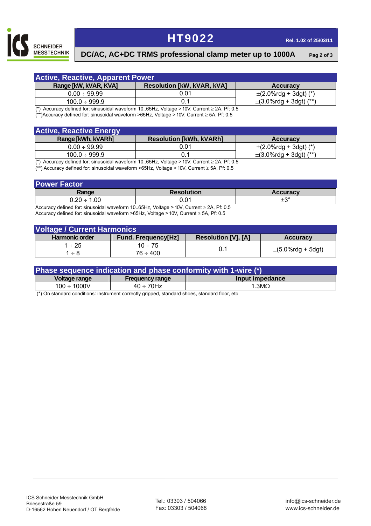

## **HT9022 Rel. 1.02 of 25/03/11**

#### **DC/AC, AC+DC TRMS professional clamp meter up to 1000A Pag 2 of 3**

| <b>Active, Reactive, Apparent Power</b> |                                                                                                     |                             |  |
|-----------------------------------------|-----------------------------------------------------------------------------------------------------|-----------------------------|--|
| Range [kW, kVAR, KVA]                   | <b>Resolution [kW, kVAR, kVA]</b>                                                                   | <b>Accuracy</b>             |  |
| $0.00 \div 99.99$                       | 0.01                                                                                                | $\pm$ (2.0%rdg + 3dgt) (*)  |  |
| $100.0 \div 999.9$                      |                                                                                                     | $\pm$ (3.0%rdg + 3dgt) (**) |  |
| $\sim$                                  | $\cdots$<br>$\sim$<br>$\mathbf{a}$ $\mathbf{a}$ $\mathbf{b}$ $\mathbf{c}$ $\mathbf{d}$ $\mathbf{c}$ |                             |  |

(\*) Accuracy defined for: sinusoidal waveform 10..65Hz, Voltage > 10V, Current ≥ 2A, Pf: 0.5

(\*\*)Accuracy defined for: sinusoidal waveform >65Hz, Voltage > 10V, Current ≥ 5A, Pf: 0.5

| <b>Active, Reactive Energy</b> |                                                                                                                                                                                                                                                                                                      |                             |
|--------------------------------|------------------------------------------------------------------------------------------------------------------------------------------------------------------------------------------------------------------------------------------------------------------------------------------------------|-----------------------------|
| Range [kWh, kVARh]             | <b>Resolution [kWh, kVARh]</b>                                                                                                                                                                                                                                                                       | <b>Accuracy</b>             |
| $0.00 \div 99.99$              | 0.01                                                                                                                                                                                                                                                                                                 | $\pm$ (2.0%rdg + 3dgt) (*)  |
| $100.0 \div 999.9$             |                                                                                                                                                                                                                                                                                                      | $\pm$ (3.0%rdg + 3dgt) (**) |
|                                | $(*)$ Acquireau defined for einuseidal waveform 10 $E = \frac{1}{2}$ $\frac{1}{2}$ $\frac{1}{2}$ $\frac{1}{2}$ $\frac{1}{2}$ $\frac{1}{2}$ $\frac{1}{2}$ $\frac{1}{2}$ $\frac{1}{2}$ $\frac{1}{2}$ $\frac{1}{2}$ $\frac{1}{2}$ $\frac{1}{2}$ $\frac{1}{2}$ $\frac{1}{2}$ $\frac{1}{2}$ $\frac{1}{2}$ |                             |

(\*) Accuracy defined for: sinusoidal waveform 10..65Hz, Voltage > 10V, Current ≥ 2A, Pf: 0.5 (\*\*) Accuracy defined for: sinusoidal waveform >65Hz, Voltage > 10V, Current ≥ 5A, Pf: 0.5

| <b>Resolution</b> | <b>Accuracy</b> |
|-------------------|-----------------|
| 0.01              | $\pm 3^{\circ}$ |
|                   | .<br>.<br>.     |

Accuracy defined for: sinusoidal waveform 10..65Hz, Voltage > 10V, Current ≥ 2A, Pf: 0.5 Accuracy defined for: sinusoidal waveform >65Hz, Voltage > 10V, Current ≥ 5A, Pf: 0.5

| <b>Voltage / Current Harmonics</b> |                            |                            |                          |  |
|------------------------------------|----------------------------|----------------------------|--------------------------|--|
| <b>Harmonic order</b>              | <b>Fund. Frequency[Hz]</b> | <b>Resolution [V], [A]</b> | <b>Accuracy</b>          |  |
| $1 \div 25$                        | $10 \div 75$               | 0.1                        | $\pm (5.0\%$ rdg + 5dgt) |  |
| 1 ÷ 8                              | 76 ÷ 400                   |                            |                          |  |

| Phase sequence indication and phase conformity with 1-wire (*) |                        |                 |  |
|----------------------------------------------------------------|------------------------|-----------------|--|
| Voltage range                                                  | <b>Frequency range</b> | Input impedance |  |
| $100 \div 1000$ V                                              | $40 \div 70$ Hz        | 1.3 $M\Omega$   |  |

(\*) On standard conditions: instrument correctly gripped, standard shoes, standard floor, etc